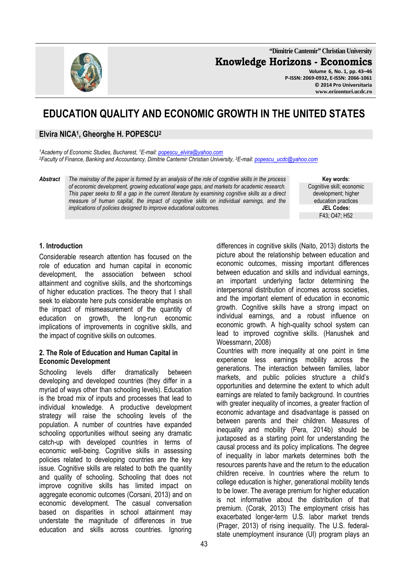

**"Dimitrie Cantemir" Christian University Knowledge Horizons - Economics Volume 6, No. 1, pp. 43–46** 

**P-ISSN: 2069-0932, E-ISSN: 2066-1061 © 2014 Pro Universitaria www.orizonturi.ucdc.ro**

# **EDUCATION QUALITY AND ECONOMIC GROWTH IN THE UNITED STATES**

# **Elvira NICA<sup>1</sup> , Gheorghe H. POPESCU<sup>2</sup>**

*<sup>1</sup>Academy of Economic Studies, Bucharest, <sup>1</sup>E-mail: popescu\_elvira@yahoo.com <sup>2</sup>Faculty of Finance, Banking and Accountancy, Dimitrie Cantemir Christian University, <sup>2</sup>E-mail: popescu\_ucdc@yahoo.com* 

*Abstract The mainstay of the paper is formed by an analysis of the role of cognitive skills in the process of economic development, growing educational wage gaps, and markets for academic research. This paper seeks to fill a gap in the current literature by examining cognitive skills as a direct measure of human capital, the impact of cognitive skills on individual earnings, and the implications of policies designed to improve educational outcomes.* 

**Key words:** Cognitive skill; economic development; higher education practices **JEL Codes:** F43; O47; H52

## **1. Introduction**

Considerable research attention has focused on the role of education and human capital in economic development, the association between school attainment and cognitive skills, and the shortcomings of higher education practices. The theory that I shall seek to elaborate here puts considerable emphasis on the impact of mismeasurement of the quantity of education on growth, the long-run economic implications of improvements in cognitive skills, and the impact of cognitive skills on outcomes.

#### **2. The Role of Education and Human Capital in Economic Development**

Schooling levels differ dramatically between developing and developed countries (they differ in a myriad of ways other than schooling levels). Education is the broad mix of inputs and processes that lead to individual knowledge. A productive development strategy will raise the schooling levels of the population. A number of countries have expanded schooling opportunities without seeing any dramatic catch-up with developed countries in terms of economic well-being. Cognitive skills in assessing policies related to developing countries are the key issue. Cognitive skills are related to both the quantity and quality of schooling. Schooling that does not improve cognitive skills has limited impact on aggregate economic outcomes (Corsani, 2013) and on economic development. The casual conversation based on disparities in school attainment may understate the magnitude of differences in true education and skills across countries. Ignoring

differences in cognitive skills (Naito, 2013) distorts the picture about the relationship between education and economic outcomes, missing important differences between education and skills and individual earnings, an important underlying factor determining the interpersonal distribution of incomes across societies, and the important element of education in economic growth. Cognitive skills have a strong impact on individual earnings, and a robust influence on economic growth. A high-quality school system can lead to improved cognitive skills. (Hanushek and Woessmann, 2008)

Countries with more inequality at one point in time experience less earnings mobility across the generations. The interaction between families, labor markets, and public policies structure a child's opportunities and determine the extent to which adult earnings are related to family background. In countries with greater inequality of incomes, a greater fraction of economic advantage and disadvantage is passed on between parents and their children. Measures of inequality and mobility (Pera, 2014b) should be juxtaposed as a starting point for understanding the causal process and its policy implications. The degree of inequality in labor markets determines both the resources parents have and the return to the education children receive. In countries where the return to college education is higher, generational mobility tends to be lower. The average premium for higher education is not informative about the distribution of that premium. (Corak, 2013) The employment crisis has exacerbated longer-term U.S. labor market trends (Prager, 2013) of rising inequality. The U.S. federalstate unemployment insurance (UI) program plays an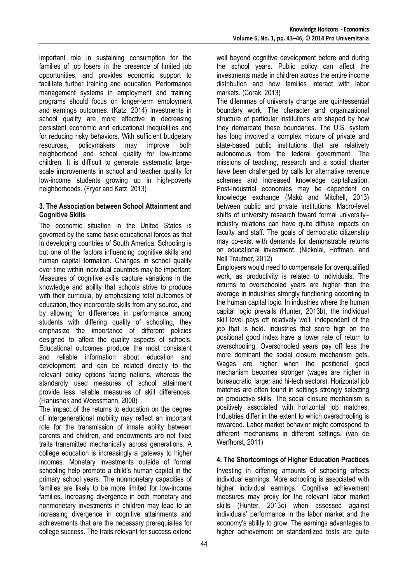important role in sustaining consumption for the families of job losers in the presence of limited job opportunities, and provides economic support to facilitate further training and education. Performance management systems in employment and training programs should focus on longer-term employment and earnings outcomes. (Katz, 2014) Investments in school quality are more effective in decreasing persistent economic and educational inequalities and for reducing risky behaviors. With sufficient budgetary resources, policymakers may improve both neighborhood and school quality for low-income children. It is difficult to generate systematic largescale improvements in school and teacher quality for low-income students growing up in high-poverty neighborhoods. (Fryer and Katz, 2013)

#### **3. The Association between School Attainment and Cognitive Skills**

The economic situation in the United States is governed by the same basic educational forces as that in developing countries of South America. Schooling is but one of the factors influencing cognitive skills and human capital formation. Changes in school quality over time within individual countries may be important. Measures of cognitive skills capture variations in the knowledge and ability that schools strive to produce with their curricula, by emphasizing total outcomes of education, they incorporate skills from any source, and by allowing for differences in performance among students with differing quality of schooling, they emphasize the importance of different policies designed to affect the quality aspects of schools. Educational outcomes produce the most consistent and reliable information about education and development, and can be related directly to the relevant policy options facing nations, whereas the standardly used measures of school attainment provide less reliable measures of skill differences. (Hanushek and Woessmann, 2008)

The impact of the returns to education on the degree of intergenerational mobility may reflect an important role for the transmission of innate ability between parents and children, and endowments are not fixed traits transmitted mechanically across generations. A college education is increasingly a gateway to higher incomes. Monetary investments outside of formal schooling help promote a child's human capital in the primary school years. The nonmonetary capacities of families are likely to be more limited for low-income families. Increasing divergence in both monetary and nonmonetary investments in children may lead to an increasing divergence in cognitive attainments and achievements that are the necessary prerequisites for college success. The traits relevant for success extend

well beyond cognitive development before and during the school years. Public policy can affect the investments made in children across the entire income distribution and how families interact with labor markets. (Corak, 2013)

The dilemmas of university change are quintessential boundary work. The character and organizational structure of particular institutions are shaped by how they demarcate these boundaries. The U.S. system has long involved a complex mixture of private and state-based public institutions that are relatively autonomous from the federal government. The missions of teaching, research and a social charter have been challenged by calls for alternative revenue schemes and increased knowledge capitalization. Post-industrial economies may be dependent on knowledge exchange (Makó and Mitchell, 2013) between public and private institutions. Macro-level shifts of university research toward formal university– industry relations can have quite diffuse impacts on faculty and staff. The goals of democratic citizenship may co-exist with demands for demonstrable returns on educational investment. (Nickolai, Hoffman, and Nell Trautner, 2012)

Employers would need to compensate for overqualified work, as productivity is related to individuals. The returns to overschooled years are higher than the average in industries strongly functioning according to the human capital logic. In industries where the human capital logic prevails (Hunter, 2013b), the individual skill level pays off relatively well, independent of the job that is held. Industries that score high on the positional good index have a lower rate of return to overschooling. Overschooled years pay off less the more dominant the social closure mechanism gets. Wages are higher when the positional good mechanism becomes stronger (wages are higher in bureaucratic, larger and hi-tech sectors). Horizontal job matches are often found in settings strongly selecting on productive skills. The social closure mechanism is positively associated with horizontal job matches. Industries differ in the extent to which overschooling is rewarded. Labor market behavior might correspond to different mechanisms in different settings. (van de Werfhorst, 2011)

# **4. The Shortcomings of Higher Education Practices**

Investing in differing amounts of schooling affects individual earnings. More schooling is associated with higher individual earnings. Cognitive achievement measures may proxy for the relevant labor market skills (Hunter, 2013c) when assessed against individuals' performance in the labor market and the economy's ability to grow. The earnings advantages to higher achievement on standardized tests are quite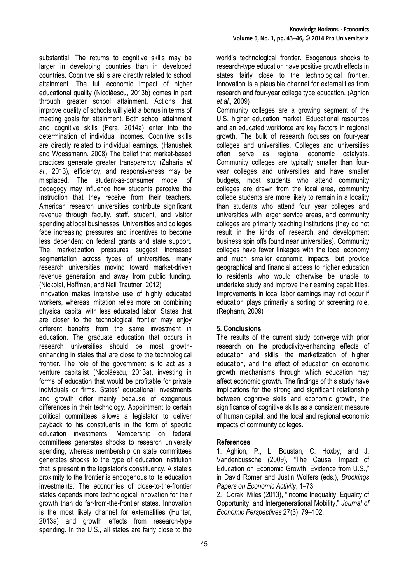substantial. The returns to cognitive skills may be larger in developing countries than in developed countries. Cognitive skills are directly related to school attainment. The full economic impact of higher educational quality (Nicolăescu, 2013b) comes in part through greater school attainment. Actions that improve quality of schools will yield a bonus in terms of meeting goals for attainment. Both school attainment and cognitive skills (Pera, 2014a) enter into the determination of individual incomes. Cognitive skills are directly related to individual earnings. (Hanushek and Woessmann, 2008) The belief that market-based practices generate greater transparency (Zaharia *et al*., 2013), efficiency, and responsiveness may be misplaced. The student-as-consumer model of pedagogy may influence how students perceive the instruction that they receive from their teachers. American research universities contribute significant revenue through faculty, staff, student, and visitor spending at local businesses. Universities and colleges face increasing pressures and incentives to become less dependent on federal grants and state support. The marketization pressures suggest increased segmentation across types of universities, many research universities moving toward market-driven revenue generation and away from public funding. (Nickolai, Hoffman, and Nell Trautner, 2012)

Innovation makes intensive use of highly educated workers, whereas imitation relies more on combining physical capital with less educated labor. States that are closer to the technological frontier may enjoy different benefits from the same investment in education. The graduate education that occurs in research universities should be most growthenhancing in states that are close to the technological frontier. The role of the government is to act as a venture capitalist (Nicolăescu, 2013a), investing in forms of education that would be profitable for private individuals or firms. States' educational investments and growth differ mainly because of exogenous differences in their technology. Appointment to certain political committees allows a legislator to deliver payback to his constituents in the form of specific education investments. Membership on federal committees generates shocks to research university spending, whereas membership on state committees generates shocks to the type of education institution that is present in the legislator's constituency. A state's proximity to the frontier is endogenous to its education investments. The economies of close-to-the-frontier states depends more technological innovation for their growth than do far-from-the-frontier states. Innovation is the most likely channel for externalities (Hunter, 2013a) and growth effects from research-type spending. In the U.S., all states are fairly close to the

Community colleges are a growing segment of the U.S. higher education market. Educational resources and an educated workforce are key factors in regional growth. The bulk of research focuses on four-year colleges and universities. Colleges and universities often serve as regional economic catalysts. Community colleges are typically smaller than fouryear colleges and universities and have smaller budgets, most students who attend community colleges are drawn from the local area, community college students are more likely to remain in a locality than students who attend four year colleges and universities with larger service areas, and community colleges are primarily teaching institutions (they do not result in the kinds of research and development business spin offs found near universities). Community colleges have fewer linkages with the local economy and much smaller economic impacts, but provide geographical and financial access to higher education to residents who would otherwise be unable to undertake study and improve their earning capabilities. Improvements in local labor earnings may not occur if education plays primarily a sorting or screening role. (Rephann, 2009)

## **5. Conclusions**

The results of the current study converge with prior research on the productivity-enhancing effects of education and skills, the marketization of higher education, and the effect of education on economic growth mechanisms through which education may affect economic growth. The findings of this study have implications for the strong and significant relationship between cognitive skills and economic growth, the significance of cognitive skills as a consistent measure of human capital, and the local and regional economic impacts of community colleges.

#### **References**

1. Aghion, P., L. Boustan, C. Hoxby, and J. Vandenbussche (2009), "The Causal Impact of Education on Economic Growth: Evidence from U.S.," in David Romer and Justin Wolfers (eds.), *Brookings Papers on Economic Activity*, 1–73.

2. Corak, Miles (2013), "Income Inequality, Equality of Opportunity, and Intergenerational Mobility," *Journal of Economic Perspectives* 27(3): 79–102.